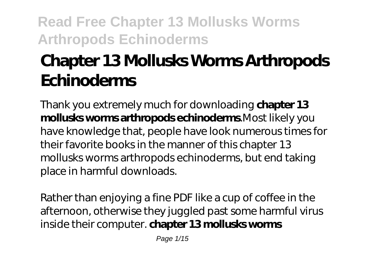# **Chapter 13 Mollusks Worms Arthropods Echinoderms**

Thank you extremely much for downloading **chapter 13 mollusks worms arthropods echinoderms**.Most likely you have knowledge that, people have look numerous times for their favorite books in the manner of this chapter 13 mollusks worms arthropods echinoderms, but end taking place in harmful downloads.

Rather than enjoying a fine PDF like a cup of coffee in the afternoon, otherwise they juggled past some harmful virus inside their computer. **chapter 13 mollusks worms**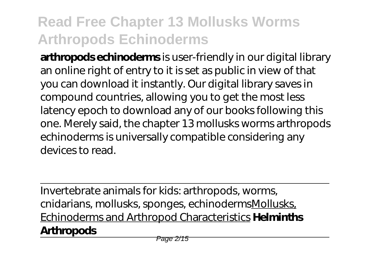**arthropods echinoderms** is user-friendly in our digital library an online right of entry to it is set as public in view of that you can download it instantly. Our digital library saves in compound countries, allowing you to get the most less latency epoch to download any of our books following this one. Merely said, the chapter 13 mollusks worms arthropods echinoderms is universally compatible considering any devices to read.

Invertebrate animals for kids: arthropods, worms, cnidarians, mollusks, sponges, echinodermsMollusks, Echinoderms and Arthropod Characteristics **Helminths Arthropods**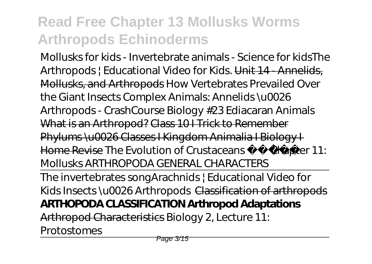Mollusks for kids - Invertebrate animals - Science for kids*The Arthropods | Educational Video for Kids.* Unit 14 - Annelids, Mollusks, and Arthropods How Vertebrates Prevailed Over the Giant Insects Complex Animals: Annelids \u0026 Arthropods - CrashCourse Biology #23 Ediacaran Animals What is an Arthropod? Class 10 I Trick to Remember Phylums \u0026 Classes I Kingdom Animalia I Biology I Home Revise *The Evolution of Crustaceans*  Chapter 11: Mollusks *ARTHROPODA GENERAL CHARACTERS*

The invertebrates song*Arachnids | Educational Video for Kids Insects \u0026 Arthropods* Classification of arthropods **ARTHOPODA CLASSIFICATION Arthropod Adaptations** Arthropod Characteristics *Biology 2, Lecture 11:*

*Protostomes*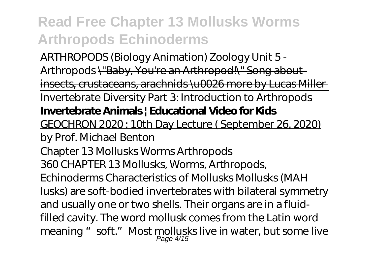ARTHROPODS (Biology Animation) Zoology Unit 5 - Arthropods \"Baby, You're an Arthropod!\" Song about insects, crustaceans, arachnids \u0026 more by Lucas Miller Invertebrate Diversity Part 3: Introduction to Arthropods **Invertebrate Animals | Educational Video for Kids**

GEOCHRON 2020 : 10th Day Lecture ( September 26, 2020) by Prof. Michael Benton

Chapter 13 Mollusks Worms Arthropods 360 CHAPTER 13 Mollusks, Worms, Arthropods, Echinoderms Characteristics of Mollusks Mollusks (MAH lusks) are soft-bodied invertebrates with bilateral symmetry and usually one or two shells. Their organs are in a fluidfilled cavity. The word mollusk comes from the Latin word meaning " soft." Most mollusks live in water, but some live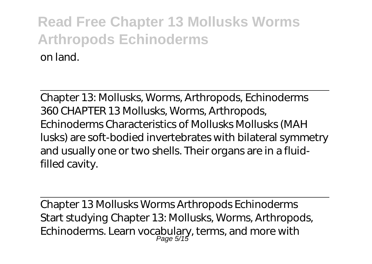Chapter 13: Mollusks, Worms, Arthropods, Echinoderms 360 CHAPTER 13 Mollusks, Worms, Arthropods, Echinoderms Characteristics of Mollusks Mollusks (MAH lusks) are soft-bodied invertebrates with bilateral symmetry and usually one or two shells. Their organs are in a fluidfilled cavity.

Chapter 13 Mollusks Worms Arthropods Echinoderms Start studying Chapter 13: Mollusks, Worms, Arthropods, Echinoderms. Learn vocabulary, terms, and more with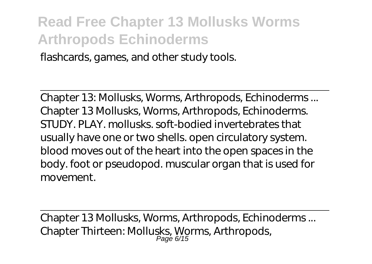flashcards, games, and other study tools.

Chapter 13: Mollusks, Worms, Arthropods, Echinoderms ... Chapter 13 Mollusks, Worms, Arthropods, Echinoderms. STUDY. PLAY. mollusks. soft-bodied invertebrates that usually have one or two shells. open circulatory system. blood moves out of the heart into the open spaces in the body. foot or pseudopod. muscular organ that is used for movement.

Chapter 13 Mollusks, Worms, Arthropods, Echinoderms ... Chapter Thirteen: Mollusks, Worms, Arthropods,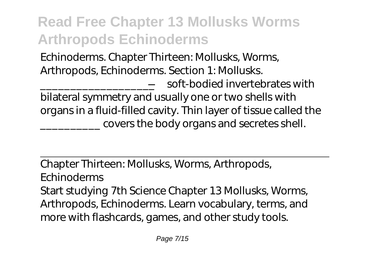Echinoderms. Chapter Thirteen: Mollusks, Worms, Arthropods, Echinoderms. Section 1: Mollusks.

\_\_\_\_\_\_\_\_\_\_\_\_\_\_\_\_\_\_\_—soft-bodied invertebrates with bilateral symmetry and usually one or two shells with organs in a fluid-filled cavity. Thin layer of tissue called the covers the body organs and secretes shell.

Chapter Thirteen: Mollusks, Worms, Arthropods, Echinoderms Start studying 7th Science Chapter 13 Mollusks, Worms, Arthropods, Echinoderms. Learn vocabulary, terms, and more with flashcards, games, and other study tools.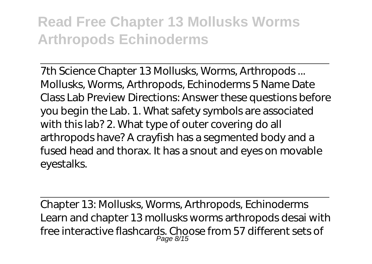7th Science Chapter 13 Mollusks, Worms, Arthropods ... Mollusks, Worms, Arthropods, Echinoderms 5 Name Date Class Lab Preview Directions: Answer these questions before you begin the Lab. 1. What safety symbols are associated with this lab? 2. What type of outer covering do all arthropods have? A crayfish has a segmented body and a fused head and thorax. It has a snout and eyes on movable eyestalks.

Chapter 13: Mollusks, Worms, Arthropods, Echinoderms Learn and chapter 13 mollusks worms arthropods desai with free interactive flashcards. Choose from 57 different sets of Page 8/15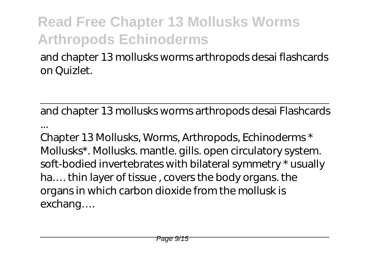and chapter 13 mollusks worms arthropods desai flashcards on Quizlet.

and chapter 13 mollusks worms arthropods desai Flashcards

...

Chapter 13 Mollusks, Worms, Arthropods, Echinoderms \* Mollusks\*. Mollusks. mantle. gills. open circulatory system. soft-bodied invertebrates with bilateral symmetry \* usually ha…. thin layer of tissue , covers the body organs. the organs in which carbon dioxide from the mollusk is exchang….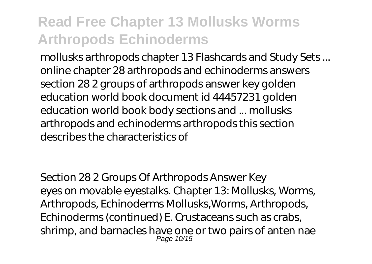mollusks arthropods chapter 13 Flashcards and Study Sets ... online chapter 28 arthropods and echinoderms answers section 28 2 groups of arthropods answer key golden education world book document id 44457231 golden education world book body sections and ... mollusks arthropods and echinoderms arthropods this section describes the characteristics of

Section 28 2 Groups Of Arthropods Answer Key eyes on movable eyestalks. Chapter 13: Mollusks, Worms, Arthropods, Echinoderms Mollusks,Worms, Arthropods, Echinoderms (continued) E. Crustaceans such as crabs, shrimp, and barnacles have one or two pairs of anten nae Page 10/15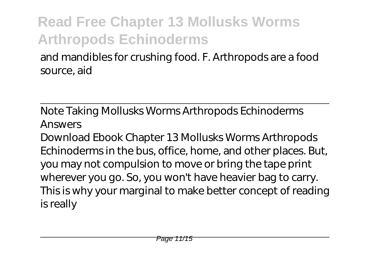and mandibles for crushing food. F. Arthropods are a food source, aid

Note Taking Mollusks Worms Arthropods Echinoderms Answers

Download Ebook Chapter 13 Mollusks Worms Arthropods Echinoderms in the bus, office, home, and other places. But, you may not compulsion to move or bring the tape print wherever you go. So, you won't have heavier bag to carry. This is why your marginal to make better concept of reading is really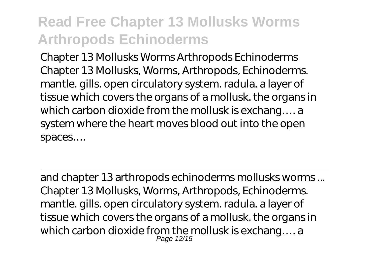Chapter 13 Mollusks Worms Arthropods Echinoderms Chapter 13 Mollusks, Worms, Arthropods, Echinoderms. mantle. gills. open circulatory system. radula. a layer of tissue which covers the organs of a mollusk. the organs in which carbon dioxide from the mollusk is exchang…. a system where the heart moves blood out into the open spaces….

and chapter 13 arthropods echinoderms mollusks worms ... Chapter 13 Mollusks, Worms, Arthropods, Echinoderms. mantle. gills. open circulatory system. radula. a layer of tissue which covers the organs of a mollusk. the organs in which carbon dioxide from the mollusk is exchang.... a<br> $P_{\text{age 12/15}}^{P_{\text{age 12/15}}}$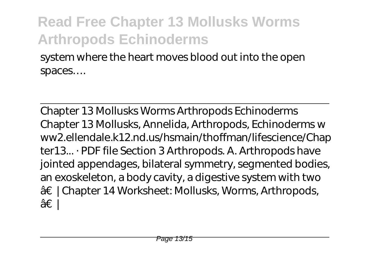system where the heart moves blood out into the open spaces….

Chapter 13 Mollusks Worms Arthropods Echinoderms Chapter 13 Mollusks, Annelida, Arthropods, Echinoderms w ww2.ellendale.k12.nd.us/hsmain/thoffman/lifescience/Chap ter13... · PDF file Section 3 Arthropods. A. Arthropods have jointed appendages, bilateral symmetry, segmented bodies, an exoskeleton, a body cavity, a digestive system with two †| Chapter 14 Worksheet: Mollusks, Worms, Arthropods, †∣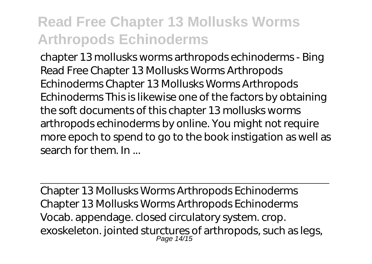chapter 13 mollusks worms arthropods echinoderms - Bing Read Free Chapter 13 Mollusks Worms Arthropods Echinoderms Chapter 13 Mollusks Worms Arthropods Echinoderms This is likewise one of the factors by obtaining the soft documents of this chapter 13 mollusks worms arthropods echinoderms by online. You might not require more epoch to spend to go to the book instigation as well as search for them. In ...

Chapter 13 Mollusks Worms Arthropods Echinoderms Chapter 13 Mollusks Worms Arthropods Echinoderms Vocab. appendage. closed circulatory system. crop. exoskeleton. jointed sturctures of arthropods, such as legs,<br>Page 14/15